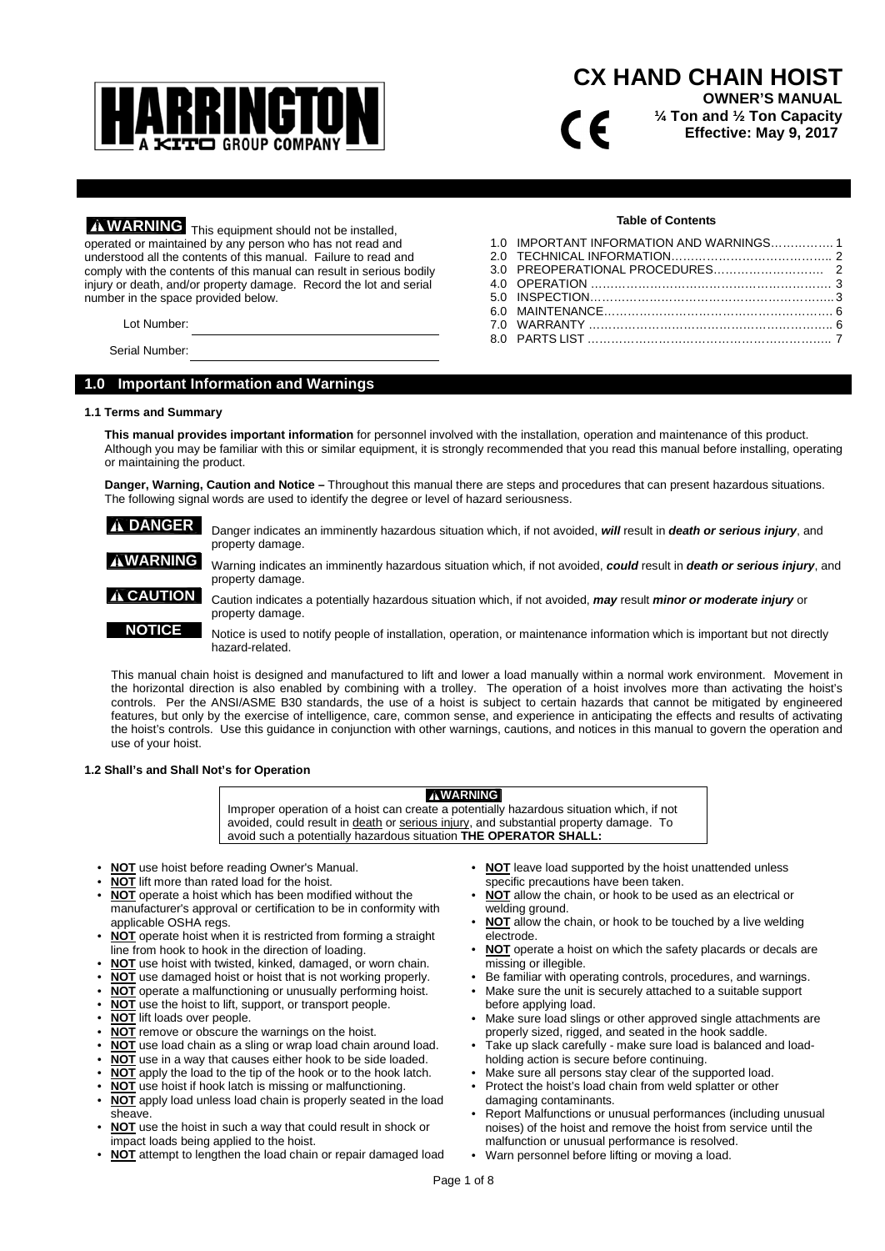

# **CX HAND CHAIN HOIST**

**OWNER'S MANUAL ¼ Ton and ½ Ton Capacity Effective: May 9, 2017**

**WARNING** This equipment should not be installed, operated or maintained by any person who has not read and understood all the contents of this manual. Failure to read and comply with the contents of this manual can result in serious bodily injury or death, and/or property damage. Record the lot and serial number in the space provided below.

Lot Number:

Serial Number:

# **1.0 Important Information and Warnings**

## **1.1 Terms and Summary**

**This manual provides important information** for personnel involved with the installation, operation and maintenance of this product. Although you may be familiar with this or similar equipment, it is strongly recommended that you read this manual before installing, operating or maintaining the product.

**Danger, Warning, Caution and Notice –** Throughout this manual there are steps and procedures that can present hazardous situations. The following signal words are used to identify the degree or level of hazard seriousness.

**A DANGER** Danger indicates an imminently hazardous situation which, if not avoided, *will* result in *death or serious injury*, and property damage.

**WARNING** Warning indicates an imminently hazardous situation which, if not avoided, *could* result in *death or serious injury*, and property damage.

**CAUTION** Caution indicates a potentially hazardous situation which, if not avoided, *may* result *minor or moderate injury* or property damage.

**NOTICE** Notice is used to notify people of installation, operation, or maintenance information which is important but not directly hazard-related.

This manual chain hoist is designed and manufactured to lift and lower a load manually within a normal work environment. Movement in the horizontal direction is also enabled by combining with a trolley. The operation of a hoist involves more than activating the hoist's controls. Per the ANSI/ASME B30 standards, the use of a hoist is subject to certain hazards that cannot be mitigated by engineered features, but only by the exercise of intelligence, care, common sense, and experience in anticipating the effects and results of activating the hoist's controls. Use this guidance in conjunction with other warnings, cautions, and notices in this manual to govern the operation and use of your hoist.

## **1.2 Shall's and Shall Not's for Operation**

**WARNING**

Improper operation of a hoist can create a potentially hazardous situation which, if not avoided, could result in death or serious injury, and substantial property damage. To avoid such a potentially hazardous situation **THE OPERATOR SHALL:**

- **NOT** use hoist before reading Owner's Manual.
- **NOT** lift more than rated load for the hoist.
- **NOT** operate a hoist which has been modified without the manufacturer's approval or certification to be in conformity with applicable OSHA regs.
- **NOT** operate hoist when it is restricted from forming a straight line from hook to hook in the direction of loading.
- **NOT** use hoist with twisted, kinked, damaged, or worn chain.
- **NOT** use damaged hoist or hoist that is not working properly.
- **NOT** operate a malfunctioning or unusually performing hoist.
- **NOT** use the hoist to lift, support, or transport people.
- **NOT** lift loads over people.
- **NOT** remove or obscure the warnings on the hoist.
- **NOT** use load chain as a sling or wrap load chain around load.
- **NOT** use in a way that causes either hook to be side loaded.
- **NOT** apply the load to the tip of the hook or to the hook latch.
- **NOT** use hoist if hook latch is missing or malfunctioning.
- **NOT** apply load unless load chain is properly seated in the load sheave.
- **NOT** use the hoist in such a way that could result in shock or impact loads being applied to the hoist.
- **NOT** attempt to lengthen the load chain or repair damaged load
- **NOT** leave load supported by the hoist unattended unless specific precautions have been taken.
- **NOT** allow the chain, or hook to be used as an electrical or welding ground.
- **NOT** allow the chain, or hook to be touched by a live welding electrode.
- **NOT** operate a hoist on which the safety placards or decals are missing or illegible.
- Be familiar with operating controls, procedures, and warnings.
- Make sure the unit is securely attached to a suitable support before applying load.
- Make sure load slings or other approved single attachments are properly sized, rigged, and seated in the hook saddle.
- Take up slack carefully make sure load is balanced and loadholding action is secure before continuing.
- Make sure all persons stay clear of the supported load.
- Protect the hoist's load chain from weld splatter or other damaging contaminants.
- Report Malfunctions or unusual performances (including unusual noises) of the hoist and remove the hoist from service until the malfunction or unusual performance is resolved.
- Warn personnel before lifting or moving a load.

**Table of Contents** 1.0 IMPORTANT INFORMATION AND WARNINGS……………. 1

7 C

2.0 TECHNICAL INFORMATION………………………………….. 2 3.0 PREOPERATIONAL PROCEDURES………………………. 2 4.0 OPERATION ……………………………………………………. 3 5.0 INSPECTION…………………………………………………….. 3 6.0 MAINTENANCE…………………………………………………. 6 7.0 WARRANTY …………………………………………………….. 6 8.0 PARTS LIST …………………………………………………….. 7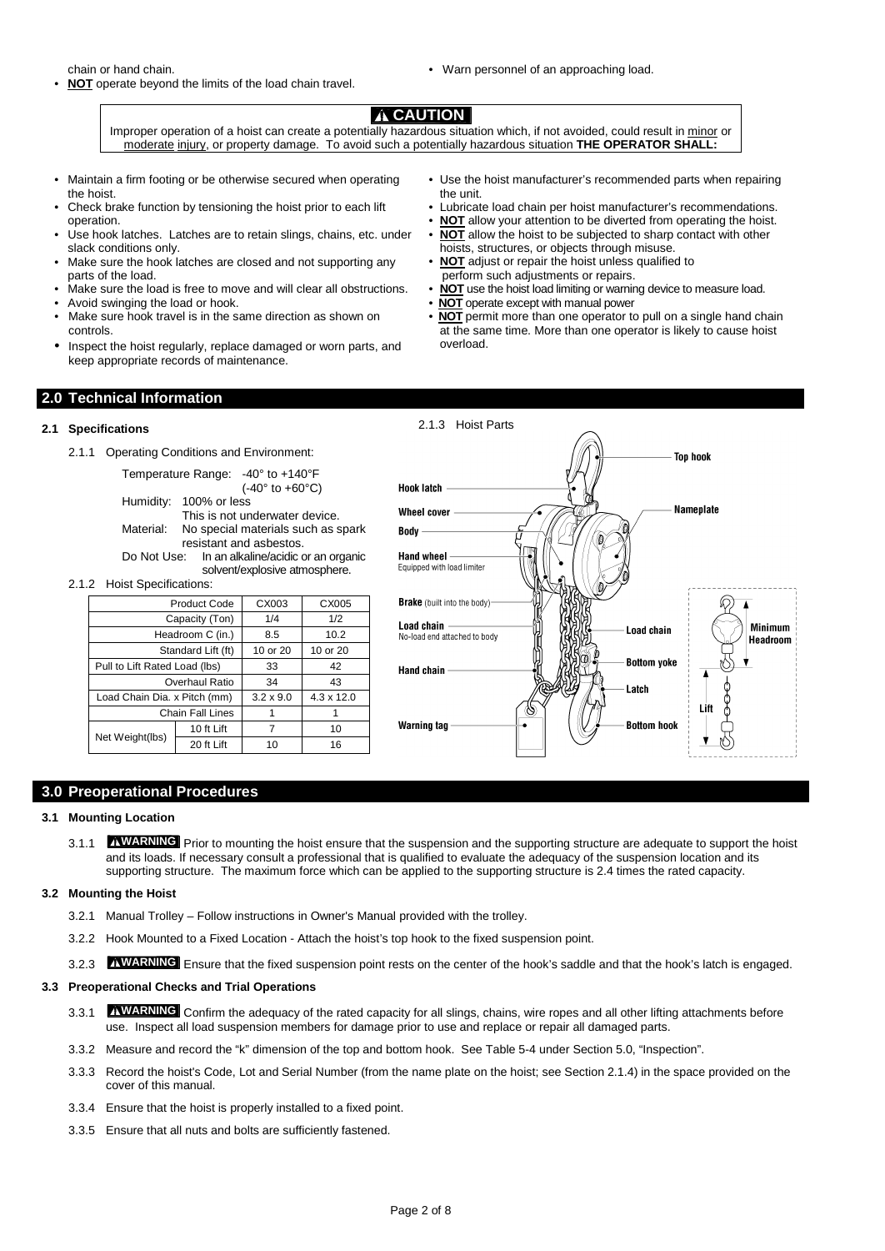chain or hand chain.

- **NOT** operate beyond the limits of the load chain travel.
- Warn personnel of an approaching load.

# **A** CAUTION

Improper operation of a hoist can create a potentially hazardous situation which, if not avoided, could result in minor or moderate injury, or property damage. To avoid such a potentially hazardous situation **THE OPERATOR SHALL:**

- Maintain a firm footing or be otherwise secured when operating the hoist.
- Check brake function by tensioning the hoist prior to each lift operation.
- Use hook latches. Latches are to retain slings, chains, etc. under slack conditions only.
- Make sure the hook latches are closed and not supporting any parts of the load.
- Make sure the load is free to move and will clear all obstructions.
- Avoid swinging the load or hook.
- Make sure hook travel is in the same direction as shown on controls.
- Inspect the hoist regularly, replace damaged or worn parts, and keep appropriate records of maintenance.
- Use the hoist manufacturer's recommended parts when repairing the unit.
- Lubricate load chain per hoist manufacturer's recommendations.
- **NOT** allow your attention to be diverted from operating the hoist.
- **NOT** allow the hoist to be subjected to sharp contact with other hoists, structures, or objects through misuse. **NOT** adjust or repair the hoist unless qualified to
- perform such adjustments or repairs.
- **NOT** use the hoist load limiting or warning device to measure load.
- **NOT** operate except with manual power
- **NOT** permit more than one operator to pull on a single hand chain at the same time. More than one operator is likely to cause hoist overload.

# **2.0 Technical Information**

# **2.1 Specifications**

2.1.1 Operating Conditions and Environment:

Temperature Range: -40° to +140°F (-40° to +60°C) Humidity: 100% or less This is not underwater device. Material: No special materials such as spark resistant and asbestos.<br>Do Not Use: In an alkaline/acidic o In an alkaline/acidic or an organic

solvent/explosive atmosphere. 2.1.2 Hoist Specifications:

|                               | <b>Product Code</b>     | CX003            | CX005             |
|-------------------------------|-------------------------|------------------|-------------------|
|                               | Capacity (Ton)          | 1/4              | 1/2               |
|                               | Headroom C (in.)        | 8.5              | 10.2              |
|                               | Standard Lift (ft)      | 10 or 20         | 10 or 20          |
| Pull to Lift Rated Load (lbs) |                         | 33               | 42                |
|                               | Overhaul Ratio          | 34               | 43                |
| Load Chain Dia. x Pitch (mm)  |                         | $3.2 \times 9.0$ | $4.3 \times 12.0$ |
|                               | <b>Chain Fall Lines</b> |                  |                   |
|                               | 10 ft Lift              | 7                | 10                |
| Net Weight(lbs)               | 20 ft Lift              | 10               | 16                |



# **3.0 Preoperational Procedures**

## **3.1 Mounting Location**

3.1.1 **WARNING** Prior to mounting the hoist ensure that the suspension and the supporting structure are adequate to support the hoist and its loads. If necessary consult a professional that is qualified to evaluate the adequacy of the suspension location and its supporting structure. The maximum force which can be applied to the supporting structure is 2.4 times the rated capacity.

## **3.2 Mounting the Hoist**

- 3.2.1 Manual Trolley Follow instructions in Owner's Manual provided with the trolley.
- 3.2.2 Hook Mounted to a Fixed Location Attach the hoist's top hook to the fixed suspension point.
- 3.2.3 **AWARNING** Ensure that the fixed suspension point rests on the center of the hook's saddle and that the hook's latch is engaged.

# **3.3 Preoperational Checks and Trial Operations**

- 3.3.1 **WARNING** Confirm the adequacy of the rated capacity for all slings, chains, wire ropes and all other lifting attachments before use. Inspect all load suspension members for damage prior to use and replace or repair all damaged parts.
- 3.3.2 Measure and record the "k" dimension of the top and bottom hook. See Table 5-4 under Section 5.0, "Inspection".
- 3.3.3 Record the hoist's Code, Lot and Serial Number (from the name plate on the hoist; see Section 2.1.4) in the space provided on the cover of this manual.
- 3.3.4 Ensure that the hoist is properly installed to a fixed point.
- 3.3.5 Ensure that all nuts and bolts are sufficiently fastened.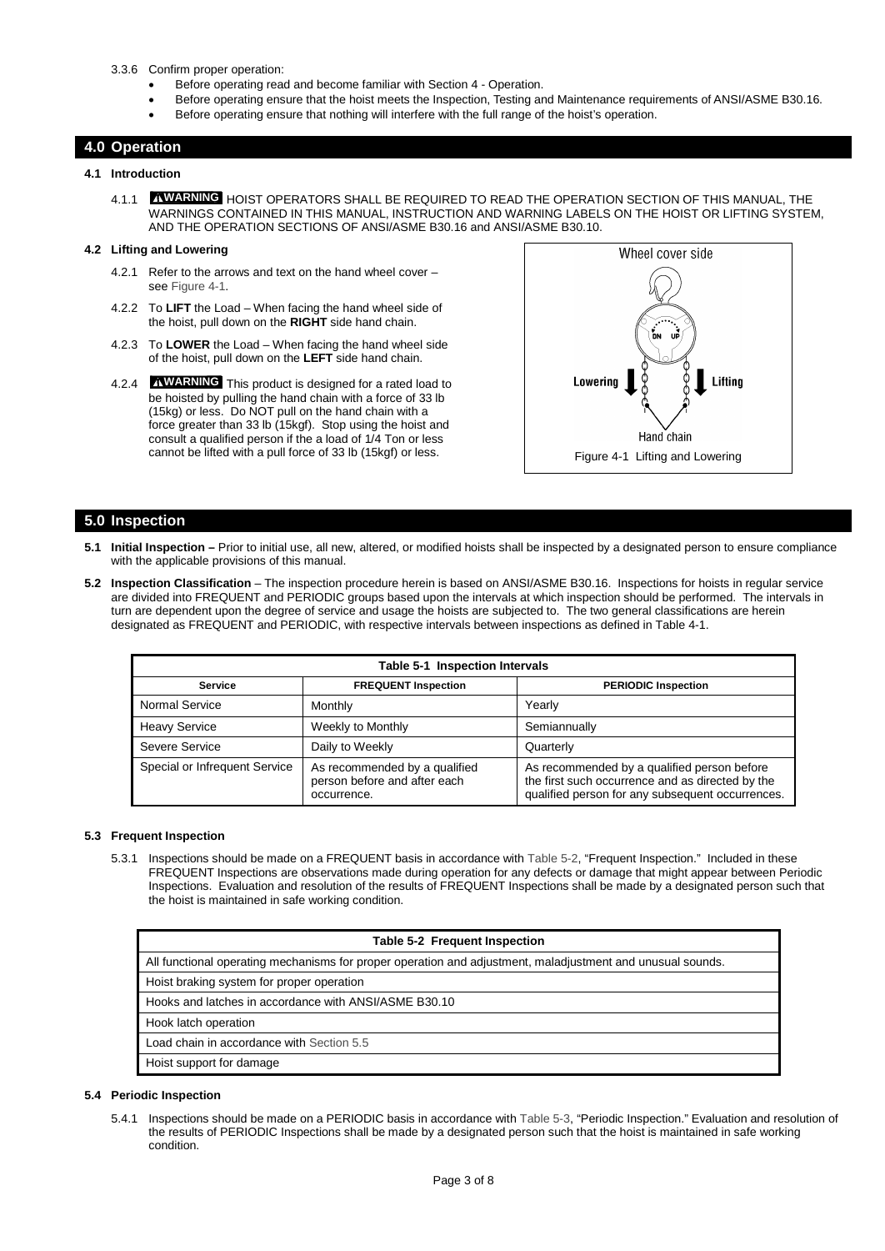- 3.3.6 Confirm proper operation:
	- Before operating read and become familiar with Section 4 Operation.
	- Before operating ensure that the hoist meets the Inspection, Testing and Maintenance requirements of ANSI/ASME B30.16.
	- Before operating ensure that nothing will interfere with the full range of the hoist's operation.

# **4.0 Operation**

# **4.1 Introduction**

4.1.1 **WARNING** HOIST OPERATORS SHALL BE REQUIRED TO READ THE OPERATION SECTION OF THIS MANUAL, THE WARNINGS CONTAINED IN THIS MANUAL, INSTRUCTION AND WARNING LABELS ON THE HOIST OR LIFTING SYSTEM, AND THE OPERATION SECTIONS OF ANSI/ASME B30.16 and ANSI/ASME B30.10.

# **4.2 Lifting and Lowering**

- 4.2.1 Refer to the arrows and text on the hand wheel cover see Figure 4-1.
- 4.2.2 To **LIFT** the Load When facing the hand wheel side of the hoist, pull down on the **RIGHT** side hand chain.
- 4.2.3 To **LOWER** the Load When facing the hand wheel side of the hoist, pull down on the **LEFT** side hand chain.
- 4.2.4 **WARNING** This product is designed for a rated load to be hoisted by pulling the hand chain with a force of 33 lb (15kg) or less. Do NOT pull on the hand chain with a force greater than 33 lb (15kgf). Stop using the hoist and consult a qualified person if the a load of 1/4 Ton or less cannot be lifted with a pull force of 33 lb (15kgf) or less. Figure 4-1 Lifting and Lowering



# **5.0 Inspection**

- **5.1 Initial Inspection** Prior to initial use, all new, altered, or modified hoists shall be inspected by a designated person to ensure compliance with the applicable provisions of this manual.
- **5.2 Inspection Classification** The inspection procedure herein is based on ANSI/ASME B30.16. Inspections for hoists in regular service are divided into FREQUENT and PERIODIC groups based upon the intervals at which inspection should be performed. The intervals in turn are dependent upon the degree of service and usage the hoists are subjected to. The two general classifications are herein designated as FREQUENT and PERIODIC, with respective intervals between inspections as defined in Table 4-1.

|                               | Table 5-1 Inspection Intervals                                               |                                                                                                                                                     |
|-------------------------------|------------------------------------------------------------------------------|-----------------------------------------------------------------------------------------------------------------------------------------------------|
| <b>Service</b>                | <b>FREQUENT Inspection</b>                                                   | <b>PERIODIC Inspection</b>                                                                                                                          |
| Normal Service                | Monthly                                                                      | Yearly                                                                                                                                              |
| <b>Heavy Service</b>          | Weekly to Monthly                                                            | Semiannually                                                                                                                                        |
| Severe Service                | Daily to Weekly                                                              | Quarterly                                                                                                                                           |
| Special or Infrequent Service | As recommended by a qualified<br>person before and after each<br>occurrence. | As recommended by a qualified person before<br>the first such occurrence and as directed by the<br>qualified person for any subsequent occurrences. |

## **5.3 Frequent Inspection**

5.3.1 Inspections should be made on a FREQUENT basis in accordance with Table 5-2, "Frequent Inspection." Included in these FREQUENT Inspections are observations made during operation for any defects or damage that might appear between Periodic Inspections. Evaluation and resolution of the results of FREQUENT Inspections shall be made by a designated person such that the hoist is maintained in safe working condition.

| Table 5-2 Frequent Inspection                                                                              |
|------------------------------------------------------------------------------------------------------------|
| All functional operating mechanisms for proper operation and adjustment, maladjustment and unusual sounds. |
| Hoist braking system for proper operation                                                                  |
| Hooks and latches in accordance with ANSI/ASME B30.10                                                      |
| Hook latch operation                                                                                       |
| Load chain in accordance with Section 5.5                                                                  |
| Hoist support for damage                                                                                   |
|                                                                                                            |

# **5.4 Periodic Inspection**

5.4.1 Inspections should be made on a PERIODIC basis in accordance with Table 5-3, "Periodic Inspection." Evaluation and resolution of the results of PERIODIC Inspections shall be made by a designated person such that the hoist is maintained in safe working condition.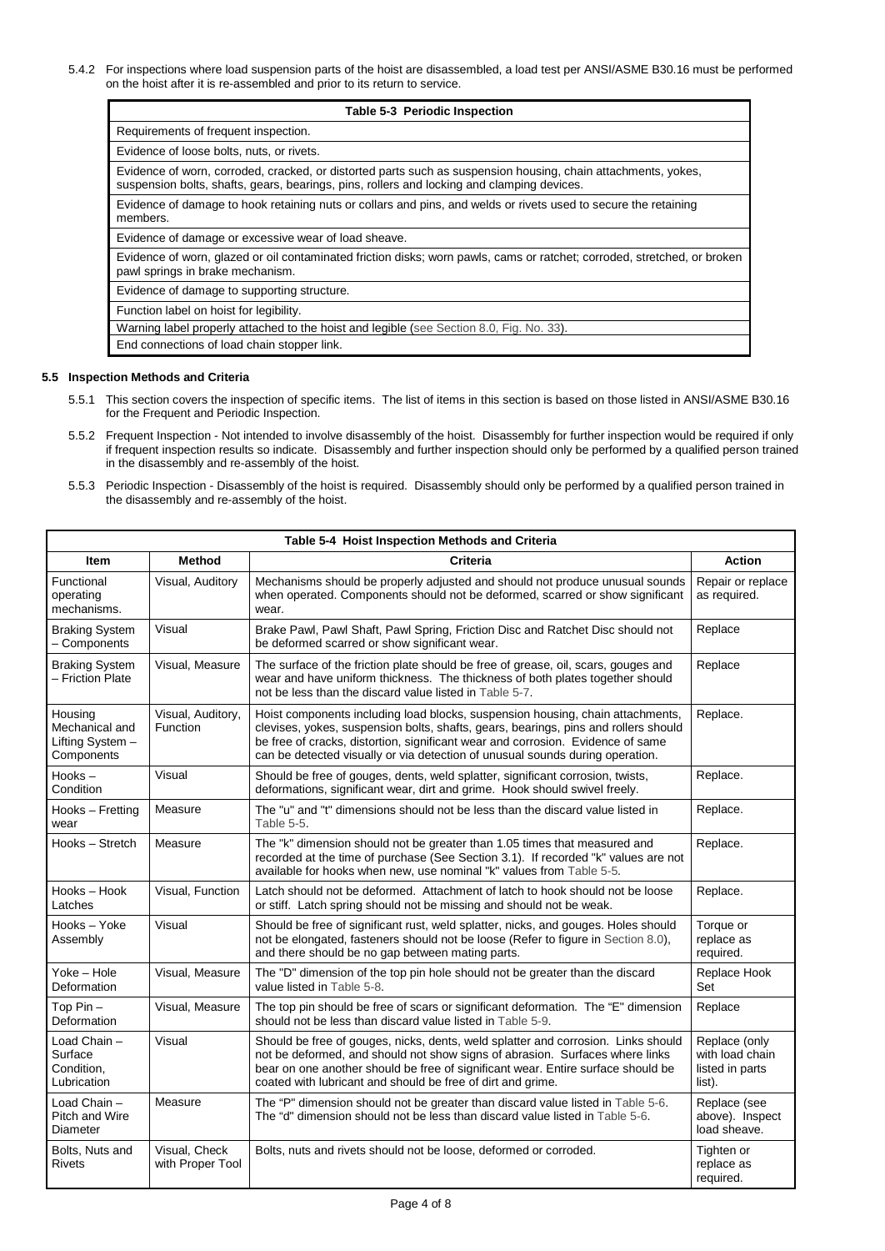5.4.2 For inspections where load suspension parts of the hoist are disassembled, a load test per ANSI/ASME B30.16 must be performed on the hoist after it is re-assembled and prior to its return to service.

| Table 5-3 Periodic Inspection                                                                                                                                                                               |
|-------------------------------------------------------------------------------------------------------------------------------------------------------------------------------------------------------------|
| Requirements of frequent inspection.                                                                                                                                                                        |
| Evidence of loose bolts, nuts, or rivets.                                                                                                                                                                   |
| Evidence of worn, corroded, cracked, or distorted parts such as suspension housing, chain attachments, yokes,<br>suspension bolts, shafts, gears, bearings, pins, rollers and locking and clamping devices. |
| Evidence of damage to hook retaining nuts or collars and pins, and welds or rivets used to secure the retaining<br>members.                                                                                 |
| Evidence of damage or excessive wear of load sheave.                                                                                                                                                        |
| Evidence of worn, glazed or oil contaminated friction disks; worn pawls, cams or ratchet; corroded, stretched, or broken<br>pawl springs in brake mechanism.                                                |
| Evidence of damage to supporting structure.                                                                                                                                                                 |
| Function label on hoist for legibility.                                                                                                                                                                     |
| Warning label properly attached to the hoist and legible (see Section 8.0, Fig. No. 33).                                                                                                                    |
| End connections of load chain stopper link.                                                                                                                                                                 |

# **5.5 Inspection Methods and Criteria**

- 5.5.1 This section covers the inspection of specific items. The list of items in this section is based on those listed in ANSI/ASME B30.16 for the Frequent and Periodic Inspection.
- 5.5.2 Frequent Inspection Not intended to involve disassembly of the hoist. Disassembly for further inspection would be required if only if frequent inspection results so indicate. Disassembly and further inspection should only be performed by a qualified person trained in the disassembly and re-assembly of the hoist.
- 5.5.3 Periodic Inspection Disassembly of the hoist is required. Disassembly should only be performed by a qualified person trained in the disassembly and re-assembly of the hoist.

|                                                             |                                   | Table 5-4 Hoist Inspection Methods and Criteria                                                                                                                                                                                                                                                                                           |                                                               |
|-------------------------------------------------------------|-----------------------------------|-------------------------------------------------------------------------------------------------------------------------------------------------------------------------------------------------------------------------------------------------------------------------------------------------------------------------------------------|---------------------------------------------------------------|
| Item                                                        | <b>Method</b>                     | Criteria                                                                                                                                                                                                                                                                                                                                  | <b>Action</b>                                                 |
| Functional<br>operating<br>mechanisms.                      | Visual, Auditory                  | Mechanisms should be properly adjusted and should not produce unusual sounds<br>when operated. Components should not be deformed, scarred or show significant<br>wear.                                                                                                                                                                    | Repair or replace<br>as required.                             |
| <b>Braking System</b><br>- Components                       | Visual                            | Brake Pawl, Pawl Shaft, Pawl Spring, Friction Disc and Ratchet Disc should not<br>be deformed scarred or show significant wear.                                                                                                                                                                                                           | Replace                                                       |
| <b>Braking System</b><br>- Friction Plate                   | Visual, Measure                   | The surface of the friction plate should be free of grease, oil, scars, gouges and<br>wear and have uniform thickness. The thickness of both plates together should<br>not be less than the discard value listed in Table 5-7.                                                                                                            | Replace                                                       |
| Housing<br>Mechanical and<br>Lifting System -<br>Components | Visual, Auditory,<br>Function     | Hoist components including load blocks, suspension housing, chain attachments,<br>clevises, yokes, suspension bolts, shafts, gears, bearings, pins and rollers should<br>be free of cracks, distortion, significant wear and corrosion. Evidence of same<br>can be detected visually or via detection of unusual sounds during operation. | Replace.                                                      |
| Hooks-<br>Condition                                         | Visual                            | Should be free of gouges, dents, weld splatter, significant corrosion, twists,<br>deformations, significant wear, dirt and grime. Hook should swivel freely.                                                                                                                                                                              | Replace.                                                      |
| Hooks - Fretting<br>wear                                    | Measure                           | The "u" and "t" dimensions should not be less than the discard value listed in<br>Table 5-5.                                                                                                                                                                                                                                              | Replace.                                                      |
| Hooks - Stretch                                             | Measure                           | The "k" dimension should not be greater than 1.05 times that measured and<br>recorded at the time of purchase (See Section 3.1). If recorded "k" values are not<br>available for hooks when new, use nominal "k" values from Table 5-5.                                                                                                   | Replace.                                                      |
| Hooks - Hook<br>Latches                                     | Visual, Function                  | Latch should not be deformed. Attachment of latch to hook should not be loose<br>or stiff. Latch spring should not be missing and should not be weak.                                                                                                                                                                                     | Replace.                                                      |
| Hooks - Yoke<br>Assembly                                    | Visual                            | Should be free of significant rust, weld splatter, nicks, and gouges. Holes should<br>not be elongated, fasteners should not be loose (Refer to figure in Section 8.0),<br>and there should be no gap between mating parts.                                                                                                               | Torque or<br>replace as<br>required.                          |
| Yoke - Hole<br>Deformation                                  | Visual, Measure                   | The "D" dimension of the top pin hole should not be greater than the discard<br>value listed in Table 5-8.                                                                                                                                                                                                                                | Replace Hook<br>Set                                           |
| Top Pin-<br>Deformation                                     | Visual, Measure                   | The top pin should be free of scars or significant deformation. The "E" dimension<br>should not be less than discard value listed in Table 5-9.                                                                                                                                                                                           | Replace                                                       |
| Load Chain -<br>Surface<br>Condition,<br>Lubrication        | Visual                            | Should be free of gouges, nicks, dents, weld splatter and corrosion. Links should<br>not be deformed, and should not show signs of abrasion. Surfaces where links<br>bear on one another should be free of significant wear. Entire surface should be<br>coated with lubricant and should be free of dirt and grime.                      | Replace (only<br>with load chain<br>listed in parts<br>list). |
| Load Chain -<br><b>Pitch and Wire</b><br>Diameter           | Measure                           | The "P" dimension should not be greater than discard value listed in Table 5-6.<br>The "d" dimension should not be less than discard value listed in Table 5-6.                                                                                                                                                                           | Replace (see<br>above). Inspect<br>load sheave.               |
| Bolts, Nuts and<br><b>Rivets</b>                            | Visual, Check<br>with Proper Tool | Bolts, nuts and rivets should not be loose, deformed or corroded.                                                                                                                                                                                                                                                                         | Tighten or<br>replace as<br>required.                         |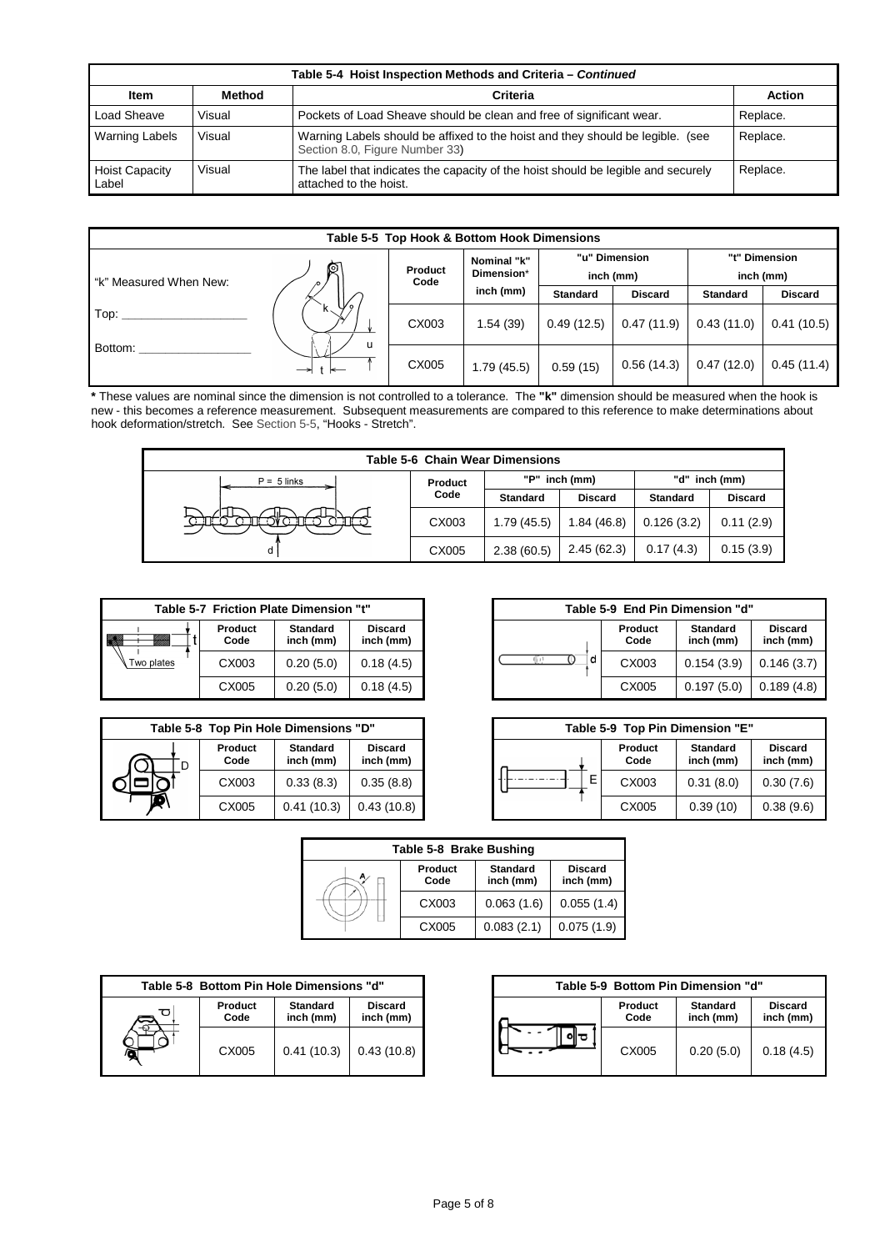|                                |        | Table 5-4 Hoist Inspection Methods and Criteria - Continued                                                      |          |
|--------------------------------|--------|------------------------------------------------------------------------------------------------------------------|----------|
| Item                           | Method | Criteria                                                                                                         | Action   |
| Load Sheave                    | Visual | Pockets of Load Sheave should be clean and free of significant wear.                                             | Replace. |
| <b>Warning Labels</b>          | Visual | Warning Labels should be affixed to the hoist and they should be legible. (see<br>Section 8.0, Figure Number 33) | Replace. |
| <b>Hoist Capacity</b><br>Label | Visual | The label that indicates the capacity of the hoist should be legible and securely<br>attached to the hoist.      | Replace. |

|                        |        |                 | Table 5-5 Top Hook & Bottom Hook Dimensions |                 |                            |                 |                |
|------------------------|--------|-----------------|---------------------------------------------|-----------------|----------------------------|-----------------|----------------|
| "k" Measured When New: | R      | Product<br>Code | Nominal "k"<br>Dimension*                   |                 | "u" Dimension<br>inch (mm) | inch (mm)       | "t" Dimension  |
|                        |        |                 | inch (mm)                                   | <b>Standard</b> | <b>Discard</b>             | <b>Standard</b> | <b>Discard</b> |
| Top:                   | W.     | CX003           | 1.54(39)                                    | 0.49(12.5)      | 0.47(11.9)                 | 0.43(11.0)      | 0.41(10.5)     |
| Bottom:                | u<br>⊸ | CX005           | 1.79(45.5)                                  | 0.59(15)        | 0.56(14.3)                 | 0.47(12.0)      | 0.45(11.4)     |

**\*** These values are nominal since the dimension is not controlled to a tolerance. The **"k"** dimension should be measured when the hook is new - this becomes a reference measurement. Subsequent measurements are compared to this reference to make determinations about hook deformation/stretch. See Section 5-5, "Hooks - Stretch".

|               |         | <b>Table 5-6 Chain Wear Dimensions</b> |                |            |                |
|---------------|---------|----------------------------------------|----------------|------------|----------------|
| $P = 5$ links | Product |                                        | "P" inch (mm)  |            | "d" inch (mm)  |
|               | Code    | Standard                               | <b>Discard</b> | Standard   | <b>Discard</b> |
|               | CX003   | 1.79(45.5)                             | 1.84(46.8)     | 0.126(3.2) | 0.11(2.9)      |
| d             | CX005   | 2.38(60.5)                             | 2.45(62.3)     | 0.17(4.3)  | 0.15(3.9)      |

|                           | Table 5-7 Friction Plate Dimension "t" |                              |                             |   | Table 5-9 End Pin Dimension "d" |                              |
|---------------------------|----------------------------------------|------------------------------|-----------------------------|---|---------------------------------|------------------------------|
| Uli Uli<br>Milli<br>YMM). | Product<br>Code                        | <b>Standard</b><br>inch (mm) | <b>Discard</b><br>inch (mm) |   | Product<br>Code                 | <b>Standard</b><br>inch (mm) |
| Two plates                | CX003                                  | 0.20(5.0)                    | 0.18(4.5)                   | a | CX003                           | 0.154(3.9)                   |
|                           | CX005                                  | 0.20(5.0)                    | 0.18(4.5)                   |   | CX005                           | 0.197(5.0)                   |

|                 | Table 5-8 Top Pin Hole Dimensions "D" |                             |   |                 | Table 5-9 Top Pin Dimension "E" |
|-----------------|---------------------------------------|-----------------------------|---|-----------------|---------------------------------|
| Product<br>Code | <b>Standard</b><br>inch (mm)          | <b>Discard</b><br>inch (mm) |   | Product<br>Code | <b>Standard</b><br>inch (mm)    |
| CX003           | 0.33(8.3)                             | 0.35(8.8)                   | E | CX003           | 0.31(8.0)                       |
| CX005           | 0.41(10.3)                            | 0.43(10.8)                  |   | CX005           | 0.39(10)                        |

|                 | riction Plate Dimension "t"  |                             |   |                 | Table 5-9 End Pin Dimension "d" |                             |
|-----------------|------------------------------|-----------------------------|---|-----------------|---------------------------------|-----------------------------|
| Product<br>Code | <b>Standard</b><br>inch (mm) | <b>Discard</b><br>inch (mm) |   | Product<br>Code | <b>Standard</b><br>inch (mm)    | <b>Discard</b><br>inch (mm) |
| CX003           | 0.20(5.0)                    | 0.18(4.5)                   | d | CX003           | 0.154(3.9)                      | 0.146(3.7)                  |
| CX005           | 0.20(5.0)                    | 0.18(4.5)                   |   | CX005           | 0.197(5.0)                      | 0.189(4.8)                  |

|                 | pp Pin Hole Dimensions "D"   |                             | Table 5-9 Top Pin Dimension "E" |                 |                              |
|-----------------|------------------------------|-----------------------------|---------------------------------|-----------------|------------------------------|
| Product<br>Code | <b>Standard</b><br>inch (mm) | <b>Discard</b><br>inch (mm) |                                 | Product<br>Code | <b>Standard</b><br>inch (mm) |
| CX003           | 0.33(8.3)                    | 0.35(8.8)                   | Ε                               | CX003           | 0.31(8.0)                    |
| CX005           | 0.41(10.3)                   | 0.43(10.8)                  |                                 | CX005           | 0.39(10)                     |

| Table 5-8 Brake Bushing |                 |                              |                             |  |  |
|-------------------------|-----------------|------------------------------|-----------------------------|--|--|
|                         | Product<br>Code | <b>Standard</b><br>inch (mm) | <b>Discard</b><br>inch (mm) |  |  |
|                         | CX003           | 0.063(1.6)                   | 0.055(1.4)                  |  |  |
|                         | CX005           | 0.083(2.1)                   | 0.075(1.9)                  |  |  |

| Table 5-8 Bottom Pin Hole Dimensions "d" |                 |                              |                             |  | Table 5-9 Bottom Pin Dimension "d" |                              |           |  |
|------------------------------------------|-----------------|------------------------------|-----------------------------|--|------------------------------------|------------------------------|-----------|--|
| ರ                                        | Product<br>Code | <b>Standard</b><br>inch (mm) | <b>Discard</b><br>inch (mm) |  | Product<br>Code                    | <b>Standard</b><br>inch (mm) |           |  |
|                                          | CX005           | 0.41(10.3)                   | 0.43(10.8)                  |  |                                    | CX005                        | 0.20(5.0) |  |

| tom Pin Hole Dimensions "d" |                              | Table 5-9 Bottom Pin Dimension "d" |                 |                              |                             |  |
|-----------------------------|------------------------------|------------------------------------|-----------------|------------------------------|-----------------------------|--|
| Product<br>Code             | <b>Standard</b><br>inch (mm) | <b>Discard</b><br>inch (mm)        | Product<br>Code | <b>Standard</b><br>inch (mm) | <b>Discard</b><br>inch (mm) |  |
| CX005                       | 0.41(10.3)                   | 0.43(10.8)                         | CX005           | 0.20(5.0)                    | 0.18(4.5)                   |  |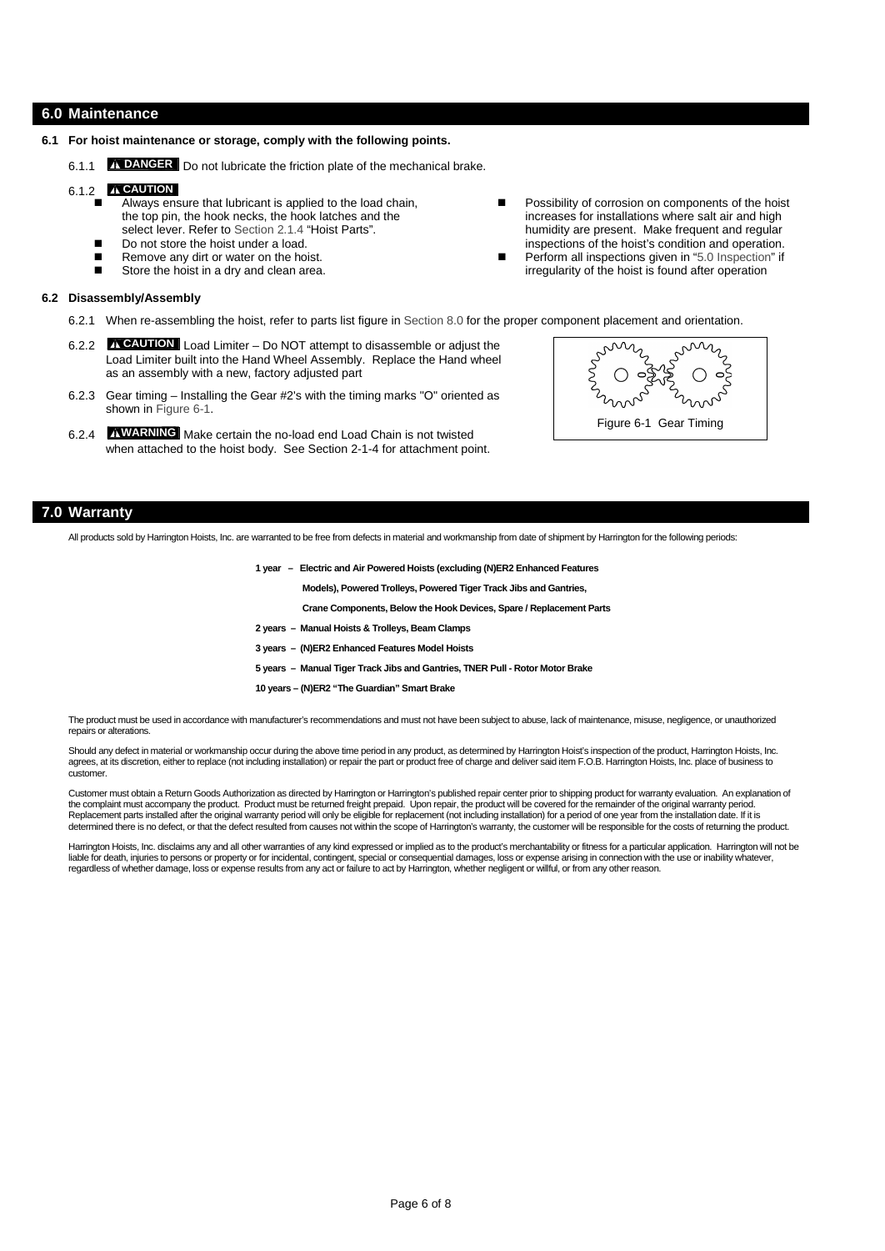# **6.0 Maintenance**

- **6.1 For hoist maintenance or storage, comply with the following points.**
	- 6.1.1 **DANGER** Do not lubricate the friction plate of the mechanical brake.

# 6.1.2 **CAUTION**

- Always ensure that lubricant is applied to the load chain, the top pin, the hook necks, the hook latches and the select lever. Refer to Section 2.1.4 "Hoist Parts".
- Do not store the hoist under a load.
- Remove any dirt or water on the hoist.
- Store the hoist in a dry and clean area.

#### **6.2 Disassembly/Assembly**

- 6.2.1 When re-assembling the hoist, refer to parts list figure in Section 8.0 for the proper component placement and orientation.
- 6.2.2 **CAUTION** Load Limiter Do NOT attempt to disassemble or adjust the Load Limiter built into the Hand Wheel Assembly. Replace the Hand wheel as an assembly with a new, factory adjusted part
- 6.2.3 Gear timing Installing the Gear #2's with the timing marks "O" oriented as shown in Figure 6-1.
- 6.2.4 **WARNING** Make certain the no-load end Load Chain is not twisted when attached to the hoist body. See Section 2-1-4 for attachment point.
- Possibility of corrosion on components of the hoist increases for installations where salt air and high humidity are present. Make frequent and regular inspections of the hoist's condition and operation. Perform all inspections given in "5.0 Inspection" if
- irregularity of the hoist is found after operation



# **7.0 Warranty**

All products sold by Harrington Hoists, Inc. are warranted to be free from defects in material and workmanship from date of shipment by Harrington for the following periods:

**1 year – Electric and Air Powered Hoists (excluding (N)ER2 Enhanced Features**

**Models), Powered Trolleys, Powered Tiger Track Jibs and Gantries,**

**Crane Components, Below the Hook Devices, Spare / Replacement Parts**

- **2 years Manual Hoists & Trolleys, Beam Clamps**
- **3 years (N)ER2 Enhanced Features Model Hoists**
- **5 years Manual Tiger Track Jibs and Gantries, TNER Pull Rotor Motor Brake**
- **10 years (N)ER2 "The Guardian" Smart Brake**

The product must be used in accordance with manufacturer's recommendations and must not have been subject to abuse, lack of maintenance, misuse, negligence, or unauthorized repairs or alterations.

Should any defect in material or workmanship occur during the above time period in any product, as determined by Harrington Hoist's inspection of the product, Harrington Hoists, Inc. agrees, at its discretion, either to replace (not including installation) or repair the part or product free of charge and deliver said item F.O.B. Harrington Hoists, Inc. place of business to customer.

Customer must obtain a Return Goods Authorization as directed by Harrington or Harrington's published repair center prior to shipping product for warranty evaluation. An explanation of the complaint must accompany the product. Product must be returned freight prepaid. Upon repair, the product will be covered for the remainder of the original warranty period. Replacement parts installed after the original warranty period will only be eligible for replacement (not including installation) for a period of one year from the installation date. If it is determined there is no defect, or that the defect resulted from causes not within the scope of Harrington's warranty, the customer will be responsible for the costs of returning the product.

Harrington Hoists, Inc. disclaims any and all other warranties of any kind expressed or implied as to the product's merchantability or fitness for a particular application. Harrington will not be liable for death, injuries to persons or property or for incidental, contingent, special or consequential damages, loss or expense arising in connection with the use or inability whatever,<br>regardless of whether damage, los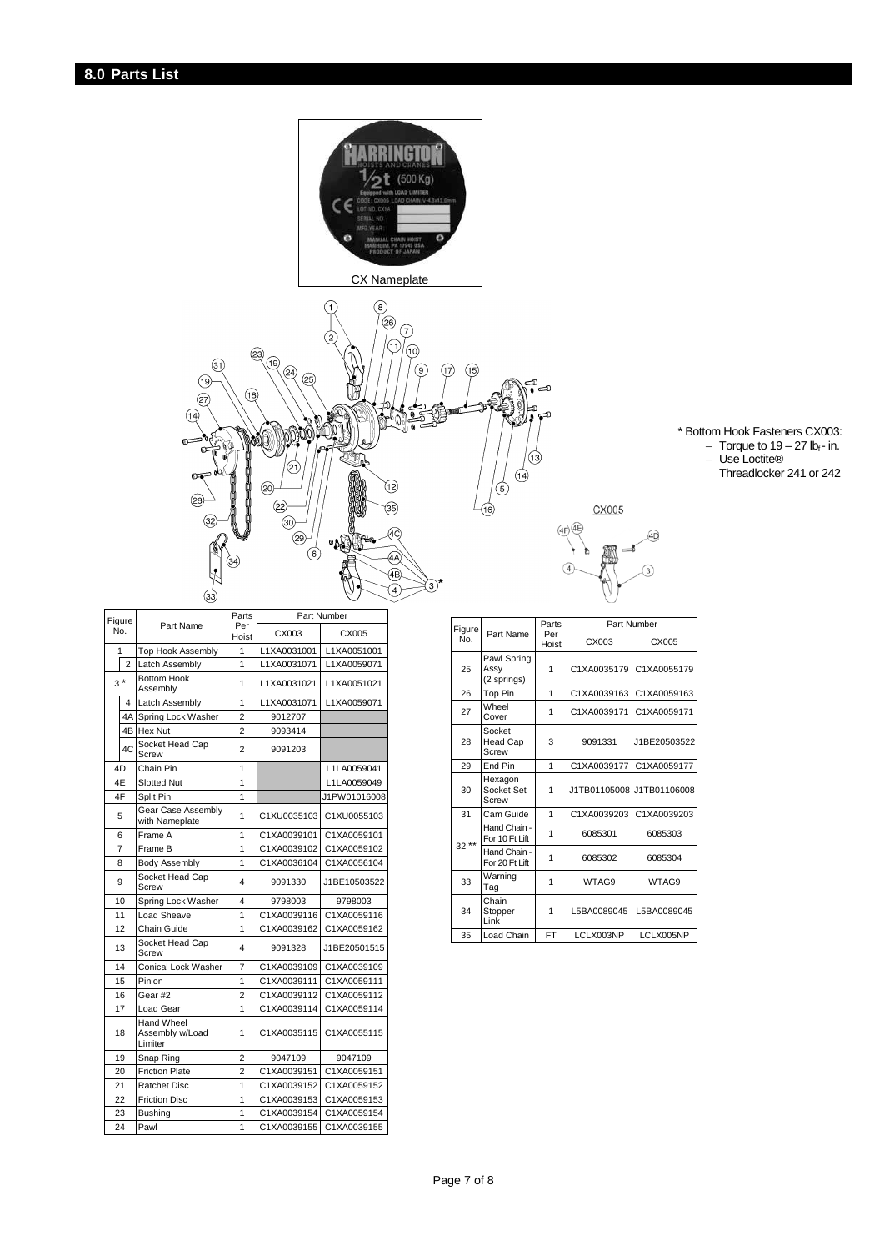



\* Bottom Hook Fasteners CX003:  $-$  Torque to 19  $-$  27 lb $_{\sf f}$  - in.

- Use Loctite®
	- Threadlocker 241 or 242

|                |    |                                          | Parts<br>Part Number |             |              |  |
|----------------|----|------------------------------------------|----------------------|-------------|--------------|--|
| Figure         |    | Part Name                                | Per                  |             |              |  |
| No.            |    |                                          | Hoist                | CX003       | CX005        |  |
| 1              |    | Top Hook Assembly                        | 1                    | L1XA0031001 | L1XA0051001  |  |
| $\overline{2}$ |    | Latch Assembly                           | 1                    | L1XA0031071 | L1XA0059071  |  |
| $3*$<br>4      |    | <b>Bottom Hook</b><br>Assembly           | 1                    | L1XA0031021 | L1XA0051021  |  |
|                |    | Latch Assembly                           | 1                    | L1XA0031071 | L1XA0059071  |  |
|                |    | 4A Spring Lock Washer                    | $\overline{2}$       | 9012707     |              |  |
|                |    | 4B Hex Nut                               | $\overline{2}$       | 9093414     |              |  |
|                | 4C | Socket Head Cap<br>Screw                 | $\overline{2}$       | 9091203     |              |  |
| 4D             |    | Chain Pin                                | 1                    |             | L1LA0059041  |  |
| 4E             |    | <b>Slotted Nut</b>                       | 1                    |             | L1LA0059049  |  |
|                | 4F | Split Pin                                | 1                    |             | J1PW01016008 |  |
| 5              |    | Gear Case Assembly<br>with Nameplate     | 1                    | C1XU0035103 | C1XU0055103  |  |
| 6              |    | Frame A                                  | 1                    | C1XA0039101 | C1XA0059101  |  |
| 7              |    | Frame B                                  | 1                    | C1XA0039102 | C1XA0059102  |  |
| 8              |    | <b>Body Assembly</b>                     | 1                    | C1XA0036104 | C1XA0056104  |  |
| 9              |    | Socket Head Cap<br>Screw                 | 4                    | 9091330     | J1BE10503522 |  |
| 10             |    | Spring Lock Washer                       | 4                    | 9798003     | 9798003      |  |
| 11             |    | Load Sheave                              | 1                    | C1XA0039116 | C1XA0059116  |  |
|                | 12 | Chain Guide                              | 1                    | C1XA0039162 | C1XA0059162  |  |
| 13             |    | Socket Head Cap<br>Screw                 | 4                    | 9091328     | J1BE20501515 |  |
|                | 14 | <b>Conical Lock Washer</b>               | 7                    | C1XA0039109 | C1XA0039109  |  |
|                | 15 | Pinion                                   | 1                    | C1XA0039111 | C1XA0059111  |  |
|                | 16 | Gear #2                                  | $\overline{2}$       | C1XA0039112 | C1XA0059112  |  |
|                | 17 | Load Gear                                | 1                    | C1XA0039114 | C1XA0059114  |  |
| 18             |    | Hand Wheel<br>Assembly w/Load<br>Limiter | 1                    | C1XA0035115 | C1XA0055115  |  |
| 19             |    | Snap Ring                                | $\overline{2}$       | 9047109     | 9047109      |  |
| 20             |    | <b>Friction Plate</b>                    | $\overline{2}$       | C1XA0039151 | C1XA0059151  |  |
| 21             |    | <b>Ratchet Disc</b>                      | 1                    | C1XA0039152 | C1XA0059152  |  |
| 22             |    | <b>Friction Disc</b>                     | 1                    | C1XA0039153 | C1XA0059153  |  |
| 23             |    | <b>Bushing</b>                           | 1                    | C1XA0039154 | C1XA0059154  |  |
| 24             |    | Pawl                                     | 1                    | C1XA0039155 | C1XA0039155  |  |

| Figure |                                    | Parts<br>Per<br>Hoist | Part Number               |              |  |  |
|--------|------------------------------------|-----------------------|---------------------------|--------------|--|--|
| No.    | Part Name                          |                       | CX003                     | CX005        |  |  |
| 25     | Pawl Spring<br>Assy<br>(2 springs) | 1                     | C1XA0035179 C1XA0055179   |              |  |  |
| 26     | Top Pin                            | 1                     | C1XA0039163               | C1XA0059163  |  |  |
| 27     | Wheel<br>Cover                     | 1                     | C1XA0039171               | C1XA0059171  |  |  |
| 28     | Socket<br><b>Head Cap</b><br>Screw | 3                     | 9091331                   | J1BE20503522 |  |  |
| 29     | End Pin                            | 1                     | C1XA0039177               | C1XA0059177  |  |  |
| 30     | Hexagon<br>Socket Set<br>Screw     | 1                     | J1TB01105008 J1TB01106008 |              |  |  |
| 31     | Cam Guide                          | 1                     | C1XA0039203               | C1XA0039203  |  |  |
| $32**$ | Hand Chain -<br>For 10 Ft Lift     | 1                     | 6085301                   | 6085303      |  |  |
|        | Hand Chain -<br>For 20 Ft Lift     | 1                     | 6085302                   | 6085304      |  |  |
| 33     | Warning<br>Tag                     | 1                     | WTAG9                     | WTAG9        |  |  |
| 34     | Chain<br>Stopper<br>Link           | 1                     | L5BA0089045               | L5BA0089045  |  |  |
| 35     | Load Chain                         | <b>FT</b>             | LCLX003NP                 | LCLX005NP    |  |  |

CX005

AD)

 $\overline{3}$ 

 $\textcircled{\scriptsize{4\textcircled{\small{+}}}}\textcircled{\scriptsize{4\textcircled{\small{+}}}}$ 

 $\sqrt{4}$